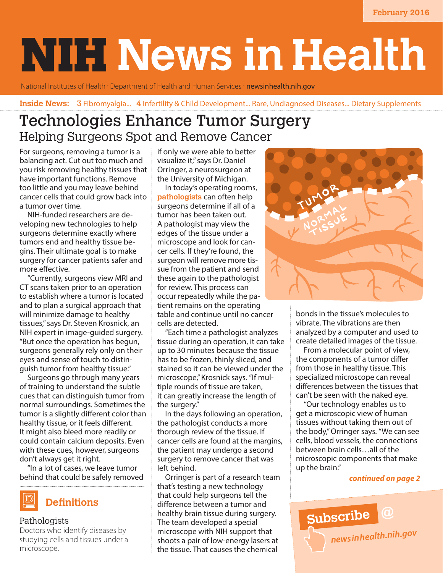# **NIH News in Health**

National Institutes of Health · Department of Health and Human Services · [newsinhealth.nih.gov](http://newsinhealth.nih.gov)

#### **Inside News:** 3 Fibromyalgia... 4 Infertility & Child Development... Rare, Undiagnosed Diseases... Dietary Supplements

## Technologies Enhance Tumor Surgery Helping Surgeons Spot and Remove Cancer

For surgeons, removing a tumor is a balancing act. Cut out too much and you risk removing healthy tissues that have important functions. Remove too little and you may leave behind cancer cells that could grow back into a tumor over time.

NIH-funded researchers are developing new technologies to help surgeons determine exactly where tumors end and healthy tissue begins. Their ultimate goal is to make surgery for cancer patients safer and more effective.

"Currently, surgeons view MRI and CT scans taken prior to an operation to establish where a tumor is located and to plan a surgical approach that will minimize damage to healthy tissues," says Dr. Steven Krosnick, an NIH expert in image-guided surgery. "But once the operation has begun, surgeons generally rely only on their eyes and sense of touch to distinguish tumor from healthy tissue."

Surgeons go through many years of training to understand the subtle cues that can distinguish tumor from normal surroundings. Sometimes the tumor is a slightly different color than healthy tissue, or it feels different. It might also bleed more readily or could contain calcium deposits. Even with these cues, however, surgeons don't always get it right.

"In a lot of cases, we leave tumor behind that could be safely removed



#### Pathologists

Doctors who identify diseases by studying cells and tissues under a microscope.

if only we were able to better visualize it," says Dr. Daniel Orringer, a neurosurgeon at the University of Michigan.

In today's operating rooms, **pathologists** can often help surgeons determine if all of a tumor has been taken out. A pathologist may view the edges of the tissue under a microscope and look for cancer cells. If they're found, the surgeon will remove more tissue from the patient and send these again to the pathologist for review. This process can occur repeatedly while the patient remains on the operating table and continue until no cancer cells are detected.

"Each time a pathologist analyzes tissue during an operation, it can take up to 30 minutes because the tissue has to be frozen, thinly sliced, and stained so it can be viewed under the microscope," Krosnick says. "If multiple rounds of tissue are taken, it can greatly increase the length of the surgery."

In the days following an operation, the pathologist conducts a more thorough review of the tissue. If cancer cells are found at the margins, the patient may undergo a second surgery to remove cancer that was left behind.

Orringer is part of a research team that's testing a new technology that could help surgeons tell the difference between a tumor and healthy brain tissue during surgery. The team developed a special microscope with NIH support that shoots a pair of low-energy lasers at the tissue. That causes the chemical



bonds in the tissue's molecules to vibrate. The vibrations are then analyzed by a computer and used to create detailed images of the tissue.

From a molecular point of view, the components of a tumor differ from those in healthy tissue. This specialized microscope can reveal differences between the tissues that can't be seen with the naked eye.

"Our technology enables us to get a microscopic view of human tissues without taking them out of the body," Orringer says. "We can see cells, blood vessels, the connections between brain cells…all of the microscopic components that make up the brain."

#### *continued on page 2*

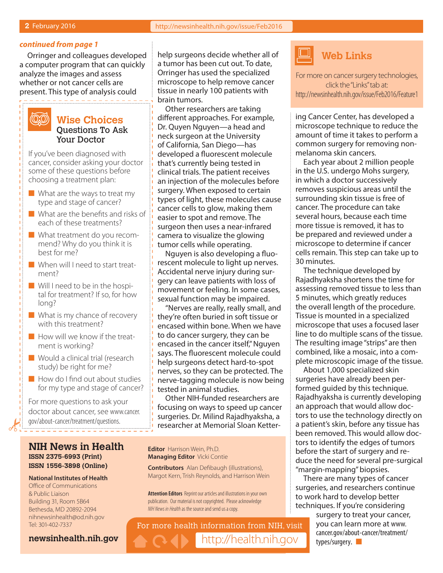#### *continued from page 1*

Orringer and colleagues developed a computer program that can quickly analyze the images and assess whether or not cancer cells are present. This type of analysis could

-----------

<u>(රාල)</u>

#### **Wise Choices** Questions To Ask Your Doctor

If you've been diagnosed with cancer, consider asking your doctor some of these questions before choosing a treatment plan:

- $\blacksquare$  What are the ways to treat my type and stage of cancer?
- $\blacksquare$  What are the benefits and risks of each of these treatments?
- $\blacksquare$  What treatment do you recommend? Why do you think it is best for me?
- $\blacksquare$  When will I need to start treatment?
- $\blacksquare$  Will I need to be in the hospital for treatment? If so, for how long?
- $\blacksquare$  What is my chance of recovery with this treatment?
- $\blacksquare$  How will we know if the treatment is working?
- $\blacksquare$  Would a clinical trial (research study) be right for me?
- $\blacksquare$  How do I find out about studies for my type and stage of cancer?

For more questions to ask your doctor about cancer, see [www.cancer.](http://www.cancer.gov/about-cancer/treatment/questions) [gov/about-cancer/treatment/questions](http://www.cancer.gov/about-cancer/treatment/questions).

#### **NIH News in Health ISSN 2375-6993 (Print) ISSN 1556-3898 (Online)**

**National Institutes of Health** Office of Communications & Public Liaison Building 31, Room 5B64 Bethesda, MD 20892-2094 nihnewsinhealth@od.nih.gov Tel: 301-402-7337

help surgeons decide whether all of a tumor has been cut out. To date, Orringer has used the specialized microscope to help remove cancer tissue in nearly 100 patients with brain tumors.

Other researchers are taking different approaches. For example, Dr. Quyen Nguyen—a head and neck surgeon at the University of California, San Diego—has developed a fluorescent molecule that's currently being tested in clinical trials. The patient receives an injection of the molecules before surgery. When exposed to certain types of light, these molecules cause cancer cells to glow, making them easier to spot and remove. The surgeon then uses a near-infrared camera to visualize the glowing tumor cells while operating.

Nguyen is also developing a fluorescent molecule to light up nerves. Accidental nerve injury during surgery can leave patients with loss of movement or feeling. In some cases, sexual function may be impaired.

"Nerves are really, really small, and they're often buried in soft tissue or encased within bone. When we have to do cancer surgery, they can be encased in the cancer itself," Nguyen says. The fluorescent molecule could help surgeons detect hard-to-spot nerves, so they can be protected. The nerve-tagging molecule is now being tested in animal studies.

Other NIH-funded researchers are focusing on ways to speed up cancer surgeries. Dr. Milind Rajadhyaksha, a researcher at Memorial Sloan Ketter-

**Editor** Harrison Wein, Ph.D. **Managing Editor** Vicki Contie

**Contributors** Alan Defibaugh (illustrations), Margot Kern, Trish Reynolds, and Harrison Wein

**Attention Editors** Reprint our articles and illustrations in your own publication. Our material is not copyrighted. Please acknowledge *NIH News in Health* as the source and send us a copy.

For more health information from NIH, visit **newsinhealth.nih.gov A A http://health.nih.gov** 

## **Web Links**

For more on cancer surgery technologies, click the "Links" tab at: <http://newsinhealth.nih.gov/issue/Feb2016/Feature1>

ing Cancer Center, has developed a microscope technique to reduce the amount of time it takes to perform a common surgery for removing nonmelanoma skin cancers.

Each year about 2 million people in the U.S. undergo Mohs surgery, in which a doctor successively removes suspicious areas until the surrounding skin tissue is free of cancer. The procedure can take several hours, because each time more tissue is removed, it has to be prepared and reviewed under a microscope to determine if cancer cells remain. This step can take up to 30 minutes.

The technique developed by Rajadhyaksha shortens the time for assessing removed tissue to less than 5 minutes, which greatly reduces the overall length of the procedure. Tissue is mounted in a specialized microscope that uses a focused laser line to do multiple scans of the tissue. The resulting image "strips" are then combined, like a mosaic, into a complete microscopic image of the tissue.

About 1,000 specialized skin surgeries have already been performed guided by this technique. Rajadhyaksha is currently developing an approach that would allow doctors to use the technology directly on a patient's skin, before any tissue has been removed. This would allow doctors to identify the edges of tumors before the start of surgery and reduce the need for several pre-surgical "margin-mapping" biopsies.

There are many types of cancer surgeries, and researchers continue to work hard to develop better techniques. If you're considering

surgery to treat your cancer, you can learn more at [www.](http://www.cancer.gov/about-cancer/treatment/types/surgery) [cancer.gov/about-cancer/treatment/](http://www.cancer.gov/about-cancer/treatment/types/surgery) [types/surgery](http://www.cancer.gov/about-cancer/treatment/types/surgery).  $\Box$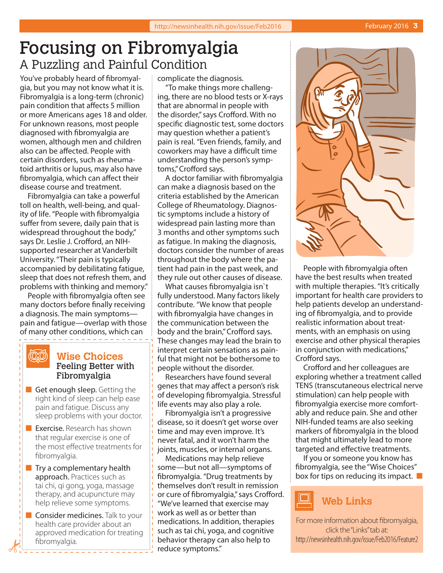## Focusing on Fibromyalgia A Puzzling and Painful Condition

You've probably heard of fibromyalgia, but you may not know what it is. Fibromyalgia is a long-term (chronic) pain condition that affects 5 million or more Americans ages 18 and older. For unknown reasons, most people diagnosed with fibromyalgia are women, although men and children also can be affected. People with certain disorders, such as rheumatoid arthritis or lupus, may also have fibromyalgia, which can affect their disease course and treatment.

Fibromyalgia can take a powerful toll on health, well-being, and quality of life. "People with fibromyalgia suffer from severe, daily pain that is widespread throughout the body," says Dr. Leslie J. Crofford, an NIHsupported researcher at Vanderbilt University. "Their pain is typically accompanied by debilitating fatigue, sleep that does not refresh them, and problems with thinking and memory."

People with fibromyalgia often see many doctors before finally receiving a diagnosis. The main symptoms pain and fatigue—overlap with those of many other conditions, which can

. . . . . . . .

**(OQO)** 

#### **Wise Choices** Feeling Better with Fibromyalgia

- $\blacksquare$  Get enough sleep. Getting the right kind of sleep can help ease pain and fatigue. Discuss any sleep problems with your doctor.
- **Fxercise**. Research has shown that regular exercise is one of the most effective treatments for fibromyalgia.
- $\blacksquare$  Try a complementary health approach. Practices such as tai chi, qi gong, yoga, massage therapy, and acupuncture may help relieve some symptoms.
- $\blacksquare$  Consider medicines. Talk to your health care provider about an approved medication for treating fibromyalgia.

complicate the diagnosis.

"To make things more challenging, there are no blood tests or X-rays that are abnormal in people with the disorder," says Crofford. With no specific diagnostic test, some doctors may question whether a patient's pain is real. "Even friends, family, and coworkers may have a difficult time understanding the person's symptoms," Crofford says.

A doctor familiar with fibromyalgia can make a diagnosis based on the criteria established by the American College of Rheumatology. Diagnostic symptoms include a history of widespread pain lasting more than 3 months and other symptoms such as fatigue. In making the diagnosis, doctors consider the number of areas throughout the body where the patient had pain in the past week, and they rule out other causes of disease.

What causes fibromyalgia isn`t fully understood. Many factors likely contribute. "We know that people with fibromyalgia have changes in the communication between the body and the brain," Crofford says. These changes may lead the brain to interpret certain sensations as painful that might not be bothersome to people without the disorder.

Researchers have found several genes that may affect a person's risk of developing fibromyalgia. Stressful life events may also play a role.

Fibromyalgia isn't a progressive disease, so it doesn't get worse over time and may even improve. It's never fatal, and it won't harm the joints, muscles, or internal organs.

Medications may help relieve some—but not all—symptoms of fibromyalgia. "Drug treatments by themselves don't result in remission or cure of fibromyalgia," says Crofford. "We've learned that exercise may work as well as or better than medications. In addition, therapies such as tai chi, yoga, and cognitive behavior therapy can also help to reduce symptoms."



People with fibromyalgia often have the best results when treated with multiple therapies. "It's critically important for health care providers to help patients develop an understanding of fibromyalgia, and to provide realistic information about treatments, with an emphasis on using exercise and other physical therapies in conjunction with medications," Crofford says.

Crofford and her colleagues are exploring whether a treatment called TENS (transcutaneous electrical nerve stimulation) can help people with fibromyalgia exercise more comfortably and reduce pain. She and other NIH-funded teams are also seeking markers of fibromyalgia in the blood that might ultimately lead to more targeted and effective treatments.

If you or someone you know has fibromyalgia, see the "Wise Choices" box for tips on reducing its impact.  $\blacksquare$ 



For more information about fibromyalgia, click the "Links" tab at: <http://newsinhealth.nih.gov/issue/Feb2016/Feature2>